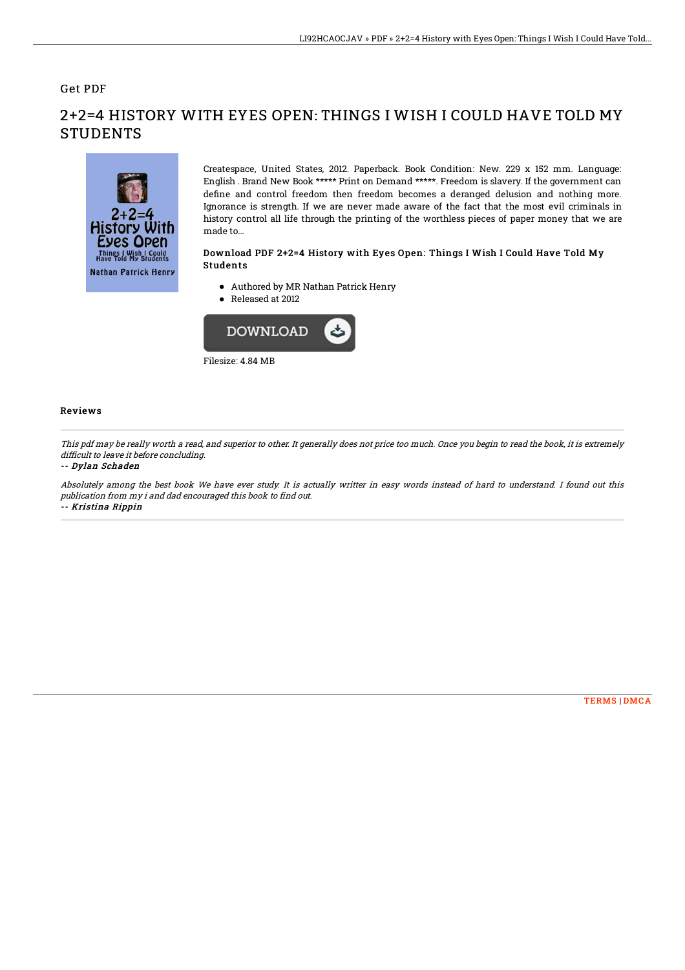## Get PDF



2+2=4 HISTORY WITH EYES OPEN: THINGS I WISH I COULD HAVE TOLD MY **STUDENTS** 

> Createspace, United States, 2012. Paperback. Book Condition: New. 229 x 152 mm. Language: English . Brand New Book \*\*\*\*\* Print on Demand \*\*\*\*\*. Freedom is slavery. If the government can define and control freedom then freedom becomes a deranged delusion and nothing more. Ignorance is strength. If we are never made aware of the fact that the most evil criminals in history control all life through the printing of the worthless pieces of paper money that we are made to...

### Download PDF 2+2=4 History with Eyes Open: Things I Wish I Could Have Told My Students

- Authored by MR Nathan Patrick Henry
- Released at 2012



#### Reviews

This pdf may be really worth <sup>a</sup> read, and superior to other. It generally does not price too much. Once you begin to read the book, it is extremely difficult to leave it before concluding.

#### -- Dylan Schaden

Absolutely among the best book We have ever study. It is actually writter in easy words instead of hard to understand. I found out this publication from my i and dad encouraged this book to find out. -- Kristina Rippin